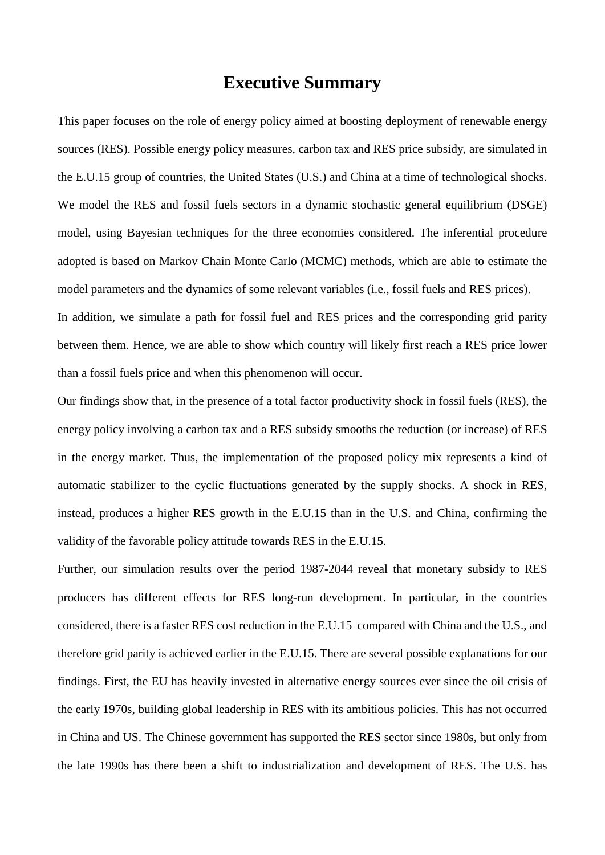## **Executive Summary**

This paper focuses on the role of energy policy aimed at boosting deployment of renewable energy sources (RES). Possible energy policy measures, carbon tax and RES price subsidy, are simulated in the E.U.15 group of countries, the United States (U.S.) and China at a time of technological shocks. We model the RES and fossil fuels sectors in a dynamic stochastic general equilibrium (DSGE) model, using Bayesian techniques for the three economies considered. The inferential procedure adopted is based on Markov Chain Monte Carlo (MCMC) methods, which are able to estimate the model parameters and the dynamics of some relevant variables (i.e., fossil fuels and RES prices).

In addition, we simulate a path for fossil fuel and RES prices and the corresponding grid parity between them. Hence, we are able to show which country will likely first reach a RES price lower than a fossil fuels price and when this phenomenon will occur.

Our findings show that, in the presence of a total factor productivity shock in fossil fuels (RES), the energy policy involving a carbon tax and a RES subsidy smooths the reduction (or increase) of RES in the energy market. Thus, the implementation of the proposed policy mix represents a kind of automatic stabilizer to the cyclic fluctuations generated by the supply shocks. A shock in RES, instead, produces a higher RES growth in the E.U.15 than in the U.S. and China, confirming the validity of the favorable policy attitude towards RES in the E.U.15.

Further, our simulation results over the period 1987-2044 reveal that monetary subsidy to RES producers has different effects for RES long-run development. In particular, in the countries considered, there is a faster RES cost reduction in the E.U.15 compared with China and the U.S., and therefore grid parity is achieved earlier in the E.U.15. There are several possible explanations for our findings. First, the EU has heavily invested in alternative energy sources ever since the oil crisis of the early 1970s, building global leadership in RES with its ambitious policies. This has not occurred in China and US. The Chinese government has supported the RES sector since 1980s, but only from the late 1990s has there been a shift to industrialization and development of RES. The U.S. has